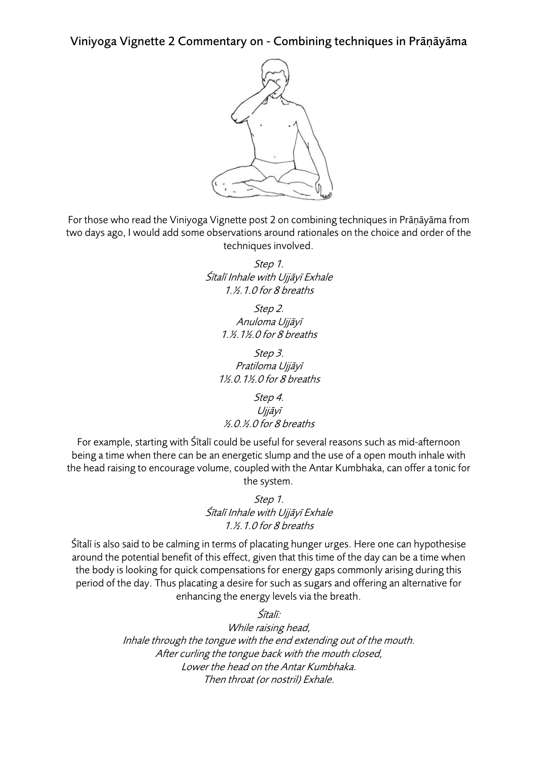Viniyoga Vignette 2 Commentary on - Combining techniques in Prāṇāyāma



For those who read the Viniyoga Vignette post 2 on combining techniques in Prāṇāyāma from two days ago, I would add some observations around rationales on the choice and order of the techniques involved.

> Step 1. Śītalī Inhale with Ujj<sup>ā</sup>yī Exhale 1.½.1.0 for 8 breaths

> > Step 2. Anuloma Ujj<sup>ā</sup>y<sup>ī</sup> 1.½.1½.0 for 8 breaths

Step 3. Pratiloma Ujj<sup>ā</sup>y<sup>ī</sup> 1½.0.1½.0 for 8 breaths

Step 4. Ujj<sup>ā</sup>y<sup>ī</sup> ½.0.½.0 for 8 breaths

For example, starting with Śītalī could be useful for several reasons such as mid-afternoon being a time when there can be an energetic slump and the use of a open mouth inhale with the head raising to encourage volume, coupled with the Antar Kumbhaka, can offer a tonic for the system.

> Step 1. Śītalī Inhale with Ujj<sup>ā</sup>yī Exhale 1.½.1.0 for 8 breaths

Śītalī is also said to be calming in terms of placating hunger urges. Here one can hypothesise around the potential benefit of this effect, given that this time of the day can be a time when the body is looking for quick compensations for energy gaps commonly arising during this period of the day. Thus placating a desire for such as sugars and offering an alternative for enhancing the energy levels via the breath.

Śītalī:

While raising head, Inhale through the tongue with the end extending out of the mouth. After curling the tongue back with the mouth closed, Lower the head on the Antar Kumbhaka. Then throat (or nostril) Exhale.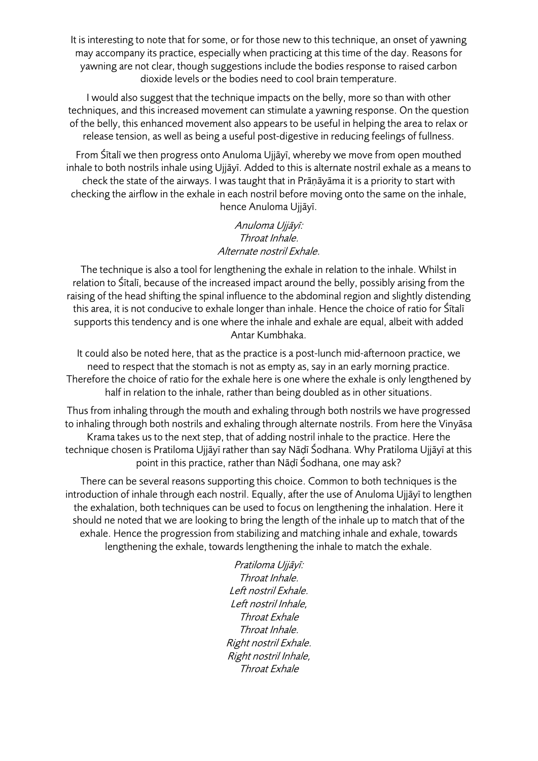It is interesting to note that for some, or for those new to this technique, an onset of yawning may accompany its practice, especially when practicing at this time of the day. Reasons for yawning are not clear, though suggestions include the bodies response to raised carbon dioxide levels or the bodies need to cool brain temperature.

I would also suggest that the technique impacts on the belly, more so than with other techniques, and this increased movement can stimulate a yawning response. On the question of the belly, this enhanced movement also appears to be useful in helping the area to relax or release tension, as well as being a useful post-digestive in reducing feelings of fullness.

From Śītalī we then progress onto Anuloma Ujjāyī, whereby we move from open mouthed inhale to both nostrils inhale using Ujjāyī. Added to this is alternate nostril exhale as a means to check the state of the airways. I was taught that in Prāṇāyāma it is a priority to start with checking the airflow in the exhale in each nostril before moving onto the same on the inhale, hence Anuloma Ujjāyī.

## Anuloma Ujj<sup>ā</sup>yī: Throat Inhale. Alternate nostril Exhale.

The technique is also a tool for lengthening the exhale in relation to the inhale. Whilst in relation to Śītalī, because of the increased impact around the belly, possibly arising from the raising of the head shifting the spinal influence to the abdominal region and slightly distending this area, it is not conducive to exhale longer than inhale. Hence the choice of ratio for Śītalī supports this tendency and is one where the inhale and exhale are equal, albeit with added Antar Kumbhaka.

It could also be noted here, that as the practice is a post-lunch mid-afternoon practice, we need to respect that the stomach is not as empty as, say in an early morning practice. Therefore the choice of ratio for the exhale here is one where the exhale is only lengthened by half in relation to the inhale, rather than being doubled as in other situations.

Thus from inhaling through the mouth and exhaling through both nostrils we have progressed to inhaling through both nostrils and exhaling through alternate nostrils. From here the Vinyāsa Krama takes us to the next step, that of adding nostril inhale to the practice. Here the technique chosen is Pratiloma Ujjāyī rather than say Nāḍī Śodhana. Why Pratiloma Ujjāyī at this point in this practice, rather than Nāḍī Śodhana, one may ask?

There can be several reasons supporting this choice. Common to both techniques is the introduction of inhale through each nostril. Equally, after the use of Anuloma Ujjāyī to lengthen the exhalation, both techniques can be used to focus on lengthening the inhalation. Here it should ne noted that we are looking to bring the length of the inhale up to match that of the exhale. Hence the progression from stabilizing and matching inhale and exhale, towards lengthening the exhale, towards lengthening the inhale to match the exhale.

> Pratiloma Ujj<sup>ā</sup>yī: Throat Inhale. Left nostril Exhale. Left nostril Inhale, Throat Exhale Throat Inhale. Right nostril Exhale. Right nostril Inhale, Throat Exhale